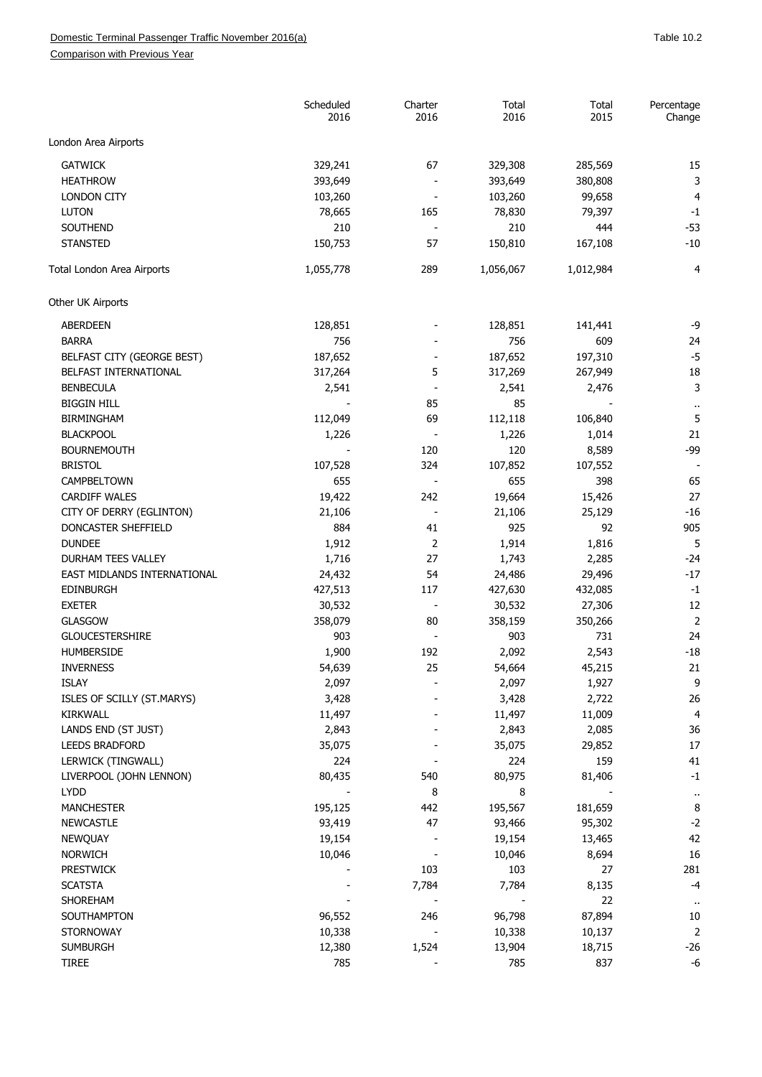Comparison with Previous Year

|                             | Scheduled<br>2016 | Charter<br>2016          | Total<br>2016 | Total<br>2015 | Percentage<br>Change      |
|-----------------------------|-------------------|--------------------------|---------------|---------------|---------------------------|
| London Area Airports        |                   |                          |               |               |                           |
| <b>GATWICK</b>              | 329,241           | 67                       | 329,308       | 285,569       | 15                        |
| <b>HEATHROW</b>             | 393,649           | $\overline{\phantom{a}}$ | 393,649       | 380,808       | 3                         |
| <b>LONDON CITY</b>          | 103,260           |                          | 103,260       | 99,658        | $\overline{4}$            |
| <b>LUTON</b>                | 78,665            | 165                      | 78,830        | 79,397        | $-1$                      |
| SOUTHEND                    | 210               |                          | 210           | 444           | $-53$                     |
| <b>STANSTED</b>             | 150,753           | 57                       | 150,810       | 167,108       | $-10$                     |
| Total London Area Airports  | 1,055,778         | 289                      | 1,056,067     | 1,012,984     | $\overline{4}$            |
| Other UK Airports           |                   |                          |               |               |                           |
| ABERDEEN                    | 128,851           |                          | 128,851       | 141,441       | -9                        |
| <b>BARRA</b>                | 756               |                          | 756           | 609           | 24                        |
| BELFAST CITY (GEORGE BEST)  | 187,652           |                          | 187,652       | 197,310       | $-5$                      |
| BELFAST INTERNATIONAL       | 317,264           | 5                        | 317,269       | 267,949       | 18                        |
|                             |                   |                          |               |               | 3                         |
| <b>BENBECULA</b>            | 2,541             |                          | 2,541         | 2,476         |                           |
| <b>BIGGIN HILL</b>          |                   | 85                       | 85            |               | $\bar{\phantom{a}}$       |
| <b>BIRMINGHAM</b>           | 112,049           | 69                       | 112,118       | 106,840       | 5                         |
| <b>BLACKPOOL</b>            | 1,226             | $\overline{\phantom{a}}$ | 1,226         | 1,014         | 21                        |
| <b>BOURNEMOUTH</b>          |                   | 120                      | 120           | 8,589         | $-99$                     |
| <b>BRISTOL</b>              | 107,528           | 324                      | 107,852       | 107,552       |                           |
| CAMPBELTOWN                 | 655               |                          | 655           | 398           | 65                        |
| <b>CARDIFF WALES</b>        | 19,422            | 242                      | 19,664        | 15,426        | 27                        |
| CITY OF DERRY (EGLINTON)    | 21,106            | $\overline{\phantom{a}}$ | 21,106        | 25,129        | $-16$                     |
| DONCASTER SHEFFIELD         | 884               | 41                       | 925           | 92            | 905                       |
| <b>DUNDEE</b>               | 1,912             | $\overline{2}$           | 1,914         | 1,816         | 5                         |
| DURHAM TEES VALLEY          | 1,716             | 27                       | 1,743         | 2,285         | $-24$                     |
| EAST MIDLANDS INTERNATIONAL | 24,432            | 54                       | 24,486        | 29,496        | $-17$                     |
| <b>EDINBURGH</b>            | 427,513           | 117                      | 427,630       | 432,085       | $-1$                      |
| <b>EXETER</b>               | 30,532            |                          | 30,532        | 27,306        | 12                        |
| <b>GLASGOW</b>              | 358,079           | 80                       | 358,159       | 350,266       | $\overline{2}$            |
| <b>GLOUCESTERSHIRE</b>      | 903               |                          | 903           | 731           | 24                        |
| <b>HUMBERSIDE</b>           | 1,900             | 192                      | 2,092         | 2,543         | $-18$                     |
| <b>INVERNESS</b>            | 54,639            | 25                       | 54,664        | 45,215        | 21                        |
| <b>ISLAY</b>                | 2,097             |                          | 2,097         | 1,927         | 9                         |
| ISLES OF SCILLY (ST.MARYS)  | 3,428             |                          | 3,428         | 2,722         | 26                        |
| KIRKWALL                    | 11,497            |                          | 11,497        | 11,009        | 4                         |
| LANDS END (ST JUST)         | 2,843             |                          | 2,843         | 2,085         | 36                        |
| <b>LEEDS BRADFORD</b>       | 35,075            |                          | 35,075        | 29,852        | 17                        |
| LERWICK (TINGWALL)          | 224               |                          | 224           | 159           | 41                        |
| LIVERPOOL (JOHN LENNON)     | 80,435            | 540                      | 80,975        | 81,406        | $-1$                      |
| <b>LYDD</b>                 |                   | 8                        | 8             |               |                           |
| MANCHESTER                  | 195,125           | 442                      | 195,567       | 181,659       | $\ddot{\phantom{1}}$<br>8 |
| <b>NEWCASTLE</b>            | 93,419            | 47                       | 93,466        | 95,302        | $-2$                      |
|                             |                   |                          |               |               | 42                        |
| <b>NEWQUAY</b>              | 19,154            |                          | 19,154        | 13,465        |                           |
| <b>NORWICH</b>              | 10,046            |                          | 10,046        | 8,694         | 16                        |
| <b>PRESTWICK</b>            |                   | 103                      | 103           | 27            | 281                       |
| <b>SCATSTA</b>              |                   | 7,784                    | 7,784         | 8,135         | $-4$                      |
| SHOREHAM                    |                   |                          |               | 22            | $\bar{\phantom{a}}$       |
| SOUTHAMPTON                 | 96,552            | 246                      | 96,798        | 87,894        | 10                        |
| <b>STORNOWAY</b>            | 10,338            |                          | 10,338        | 10,137        | $\mathbf 2$               |
| <b>SUMBURGH</b>             | 12,380            | 1,524                    | 13,904        | 18,715        | $-26$                     |
| <b>TIREE</b>                | 785               |                          | 785           | 837           | $-6$                      |